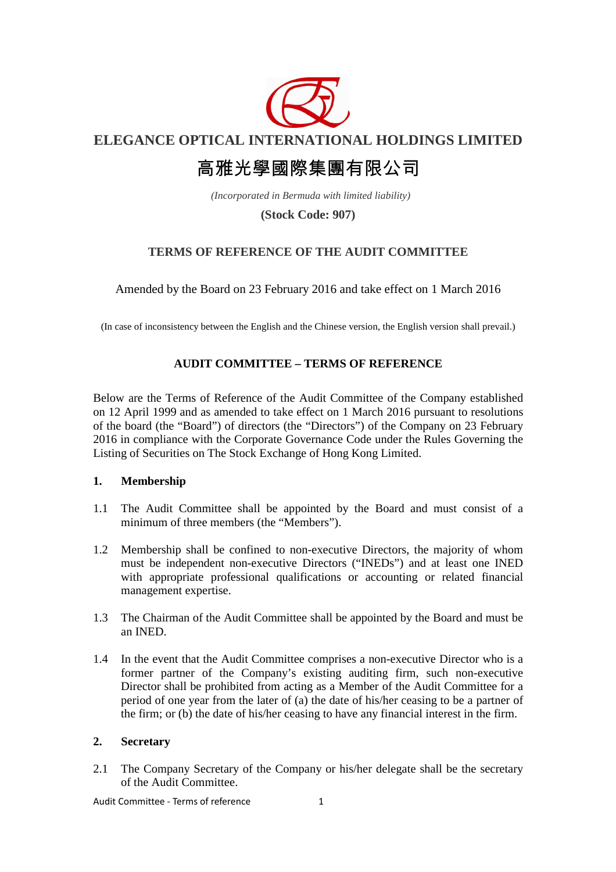

**ELEGANCE OPTICAL INTERNATIONAL HOLDINGS LIMITED** 

# 高雅光學國際集團有限公司

 *(Incorporated in Bermuda with limited liability)* 

# **(Stock Code: 907)**

# **TERMS OF REFERENCE OF THE AUDIT COMMITTEE**

Amended by the Board on 23 February 2016 and take effect on 1 March 2016

(In case of inconsistency between the English and the Chinese version, the English version shall prevail.)

# **AUDIT COMMITTEE – TERMS OF REFERENCE**

Below are the Terms of Reference of the Audit Committee of the Company established on 12 April 1999 and as amended to take effect on 1 March 2016 pursuant to resolutions of the board (the "Board") of directors (the "Directors") of the Company on 23 February 2016 in compliance with the Corporate Governance Code under the Rules Governing the Listing of Securities on The Stock Exchange of Hong Kong Limited.

## **1. Membership**

- 1.1 The Audit Committee shall be appointed by the Board and must consist of a minimum of three members (the "Members").
- 1.2 Membership shall be confined to non-executive Directors, the majority of whom must be independent non-executive Directors ("INEDs") and at least one INED with appropriate professional qualifications or accounting or related financial management expertise.
- 1.3 The Chairman of the Audit Committee shall be appointed by the Board and must be an INED.
- 1.4 In the event that the Audit Committee comprises a non-executive Director who is a former partner of the Company's existing auditing firm, such non-executive Director shall be prohibited from acting as a Member of the Audit Committee for a period of one year from the later of (a) the date of his/her ceasing to be a partner of the firm; or (b) the date of his/her ceasing to have any financial interest in the firm.

## **2. Secretary**

2.1 The Company Secretary of the Company or his/her delegate shall be the secretary of the Audit Committee.

Audit Committee - Terms of reference 1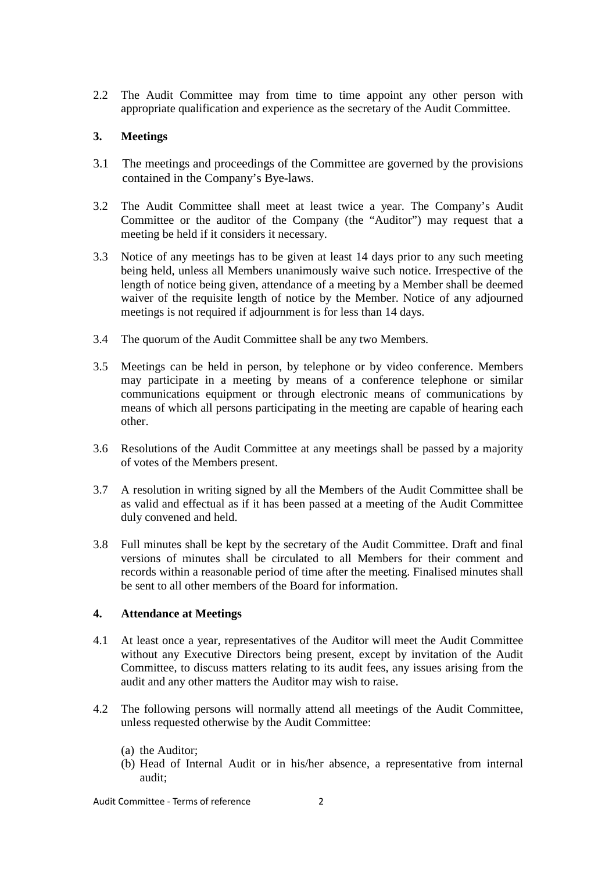2.2 The Audit Committee may from time to time appoint any other person with appropriate qualification and experience as the secretary of the Audit Committee.

## **3. Meetings**

- 3.1 The meetings and proceedings of the Committee are governed by the provisions contained in the Company's Bye-laws.
- 3.2 The Audit Committee shall meet at least twice a year. The Company's Audit Committee or the auditor of the Company (the "Auditor") may request that a meeting be held if it considers it necessary.
- 3.3 Notice of any meetings has to be given at least 14 days prior to any such meeting being held, unless all Members unanimously waive such notice. Irrespective of the length of notice being given, attendance of a meeting by a Member shall be deemed waiver of the requisite length of notice by the Member. Notice of any adjourned meetings is not required if adjournment is for less than 14 days.
- 3.4 The quorum of the Audit Committee shall be any two Members.
- 3.5 Meetings can be held in person, by telephone or by video conference. Members may participate in a meeting by means of a conference telephone or similar communications equipment or through electronic means of communications by means of which all persons participating in the meeting are capable of hearing each other.
- 3.6 Resolutions of the Audit Committee at any meetings shall be passed by a majority of votes of the Members present.
- 3.7 A resolution in writing signed by all the Members of the Audit Committee shall be as valid and effectual as if it has been passed at a meeting of the Audit Committee duly convened and held.
- 3.8 Full minutes shall be kept by the secretary of the Audit Committee. Draft and final versions of minutes shall be circulated to all Members for their comment and records within a reasonable period of time after the meeting. Finalised minutes shall be sent to all other members of the Board for information.

#### **4. Attendance at Meetings**

- 4.1 At least once a year, representatives of the Auditor will meet the Audit Committee without any Executive Directors being present, except by invitation of the Audit Committee, to discuss matters relating to its audit fees, any issues arising from the audit and any other matters the Auditor may wish to raise.
- 4.2 The following persons will normally attend all meetings of the Audit Committee, unless requested otherwise by the Audit Committee:
	- (a) the Auditor;
	- (b) Head of Internal Audit or in his/her absence, a representative from internal audit;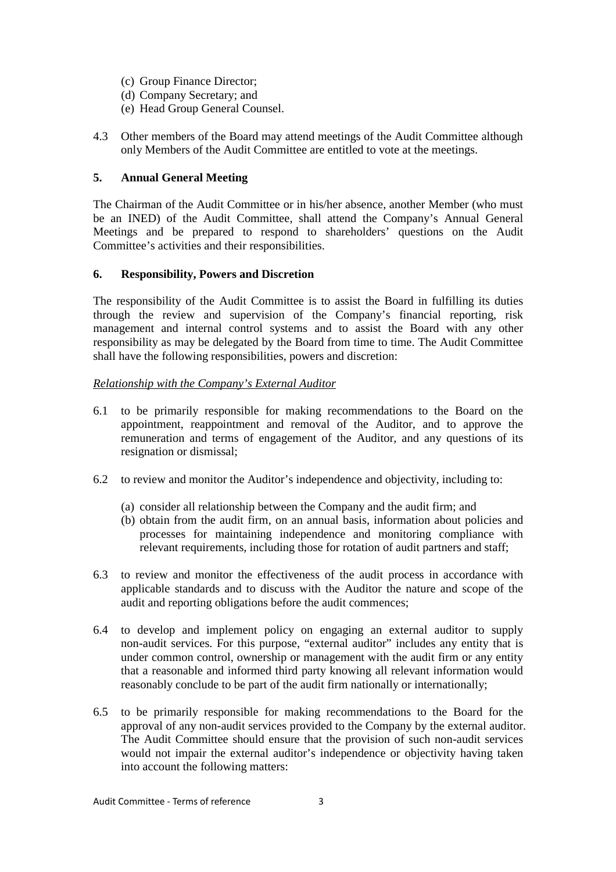- (c) Group Finance Director;
- (d) Company Secretary; and
- (e) Head Group General Counsel.
- 4.3 Other members of the Board may attend meetings of the Audit Committee although only Members of the Audit Committee are entitled to vote at the meetings.

# **5. Annual General Meeting**

The Chairman of the Audit Committee or in his/her absence, another Member (who must be an INED) of the Audit Committee, shall attend the Company's Annual General Meetings and be prepared to respond to shareholders' questions on the Audit Committee's activities and their responsibilities.

## **6. Responsibility, Powers and Discretion**

The responsibility of the Audit Committee is to assist the Board in fulfilling its duties through the review and supervision of the Company's financial reporting, risk management and internal control systems and to assist the Board with any other responsibility as may be delegated by the Board from time to time. The Audit Committee shall have the following responsibilities, powers and discretion:

# *Relationship with the Company's External Auditor*

- 6.1 to be primarily responsible for making recommendations to the Board on the appointment, reappointment and removal of the Auditor, and to approve the remuneration and terms of engagement of the Auditor, and any questions of its resignation or dismissal;
- 6.2 to review and monitor the Auditor's independence and objectivity, including to:
	- (a) consider all relationship between the Company and the audit firm; and
	- (b) obtain from the audit firm, on an annual basis, information about policies and processes for maintaining independence and monitoring compliance with relevant requirements, including those for rotation of audit partners and staff;
- 6.3 to review and monitor the effectiveness of the audit process in accordance with applicable standards and to discuss with the Auditor the nature and scope of the audit and reporting obligations before the audit commences;
- 6.4 to develop and implement policy on engaging an external auditor to supply non-audit services. For this purpose, "external auditor" includes any entity that is under common control, ownership or management with the audit firm or any entity that a reasonable and informed third party knowing all relevant information would reasonably conclude to be part of the audit firm nationally or internationally;
- 6.5 to be primarily responsible for making recommendations to the Board for the approval of any non-audit services provided to the Company by the external auditor. The Audit Committee should ensure that the provision of such non-audit services would not impair the external auditor's independence or objectivity having taken into account the following matters: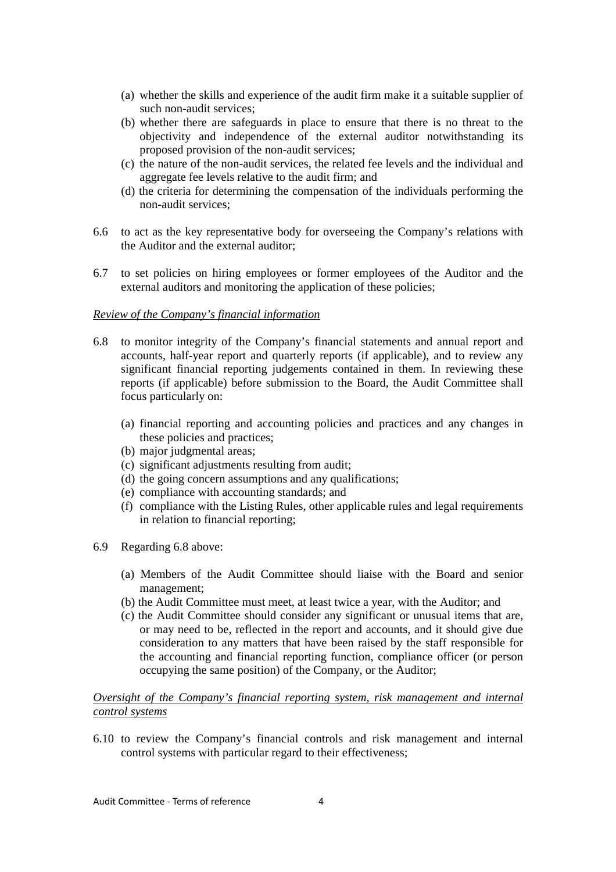- (a) whether the skills and experience of the audit firm make it a suitable supplier of such non-audit services;
- (b) whether there are safeguards in place to ensure that there is no threat to the objectivity and independence of the external auditor notwithstanding its proposed provision of the non-audit services;
- (c) the nature of the non-audit services, the related fee levels and the individual and aggregate fee levels relative to the audit firm; and
- (d) the criteria for determining the compensation of the individuals performing the non-audit services;
- 6.6 to act as the key representative body for overseeing the Company's relations with the Auditor and the external auditor;
- 6.7 to set policies on hiring employees or former employees of the Auditor and the external auditors and monitoring the application of these policies;

#### *Review of the Company's financial information*

- 6.8 to monitor integrity of the Company's financial statements and annual report and accounts, half-year report and quarterly reports (if applicable), and to review any significant financial reporting judgements contained in them. In reviewing these reports (if applicable) before submission to the Board, the Audit Committee shall focus particularly on:
	- (a) financial reporting and accounting policies and practices and any changes in these policies and practices;
	- (b) major judgmental areas;
	- (c) significant adjustments resulting from audit;
	- (d) the going concern assumptions and any qualifications;
	- (e) compliance with accounting standards; and
	- (f) compliance with the Listing Rules, other applicable rules and legal requirements in relation to financial reporting;
- 6.9 Regarding 6.8 above:
	- (a) Members of the Audit Committee should liaise with the Board and senior management;
	- (b) the Audit Committee must meet, at least twice a year, with the Auditor; and
	- (c) the Audit Committee should consider any significant or unusual items that are, or may need to be, reflected in the report and accounts, and it should give due consideration to any matters that have been raised by the staff responsible for the accounting and financial reporting function, compliance officer (or person occupying the same position) of the Company, or the Auditor;

#### *Oversight of the Company's financial reporting system, risk management and internal control systems*

6.10 to review the Company's financial controls and risk management and internal control systems with particular regard to their effectiveness;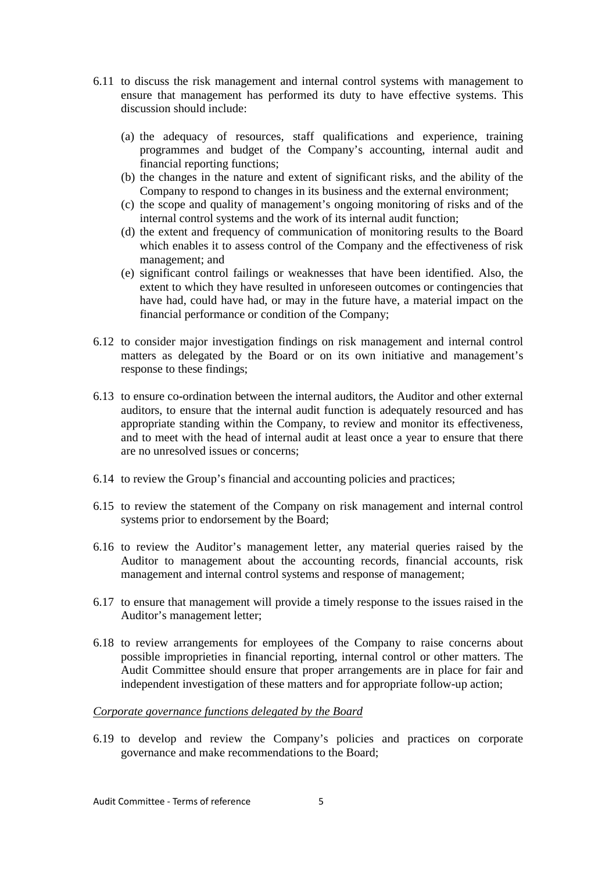- 6.11 to discuss the risk management and internal control systems with management to ensure that management has performed its duty to have effective systems. This discussion should include:
	- (a) the adequacy of resources, staff qualifications and experience, training programmes and budget of the Company's accounting, internal audit and financial reporting functions;
	- (b) the changes in the nature and extent of significant risks, and the ability of the Company to respond to changes in its business and the external environment;
	- (c) the scope and quality of management's ongoing monitoring of risks and of the internal control systems and the work of its internal audit function;
	- (d) the extent and frequency of communication of monitoring results to the Board which enables it to assess control of the Company and the effectiveness of risk management; and
	- (e) significant control failings or weaknesses that have been identified. Also, the extent to which they have resulted in unforeseen outcomes or contingencies that have had, could have had, or may in the future have, a material impact on the financial performance or condition of the Company;
- 6.12 to consider major investigation findings on risk management and internal control matters as delegated by the Board or on its own initiative and management's response to these findings;
- 6.13 to ensure co-ordination between the internal auditors, the Auditor and other external auditors, to ensure that the internal audit function is adequately resourced and has appropriate standing within the Company, to review and monitor its effectiveness, and to meet with the head of internal audit at least once a year to ensure that there are no unresolved issues or concerns;
- 6.14 to review the Group's financial and accounting policies and practices;
- 6.15 to review the statement of the Company on risk management and internal control systems prior to endorsement by the Board;
- 6.16 to review the Auditor's management letter, any material queries raised by the Auditor to management about the accounting records, financial accounts, risk management and internal control systems and response of management;
- 6.17 to ensure that management will provide a timely response to the issues raised in the Auditor's management letter;
- 6.18 to review arrangements for employees of the Company to raise concerns about possible improprieties in financial reporting, internal control or other matters. The Audit Committee should ensure that proper arrangements are in place for fair and independent investigation of these matters and for appropriate follow-up action;

## *Corporate governance functions delegated by the Board*

6.19 to develop and review the Company's policies and practices on corporate governance and make recommendations to the Board;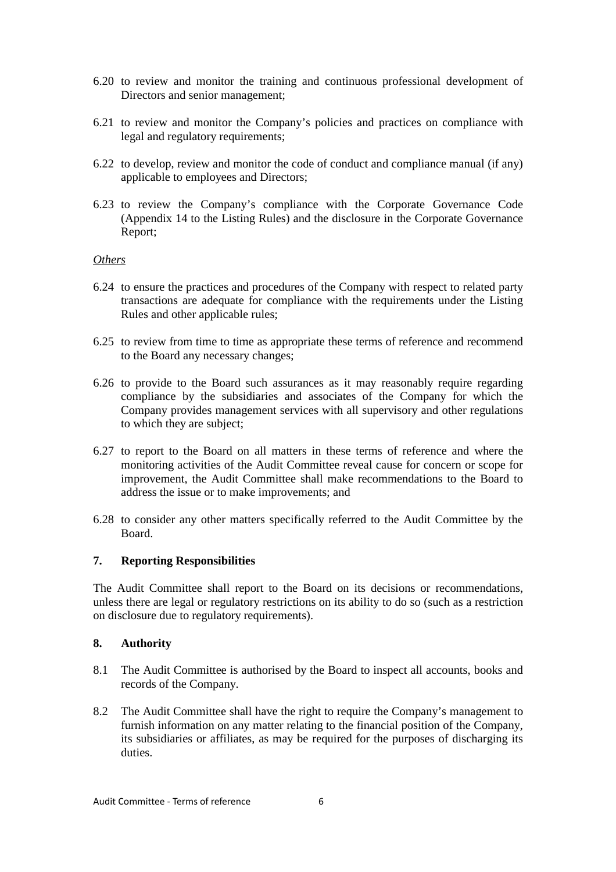- 6.20 to review and monitor the training and continuous professional development of Directors and senior management;
- 6.21 to review and monitor the Company's policies and practices on compliance with legal and regulatory requirements;
- 6.22 to develop, review and monitor the code of conduct and compliance manual (if any) applicable to employees and Directors;
- 6.23 to review the Company's compliance with the Corporate Governance Code (Appendix 14 to the Listing Rules) and the disclosure in the Corporate Governance Report;

#### *Others*

- 6.24 to ensure the practices and procedures of the Company with respect to related party transactions are adequate for compliance with the requirements under the Listing Rules and other applicable rules;
- 6.25 to review from time to time as appropriate these terms of reference and recommend to the Board any necessary changes;
- 6.26 to provide to the Board such assurances as it may reasonably require regarding compliance by the subsidiaries and associates of the Company for which the Company provides management services with all supervisory and other regulations to which they are subject;
- 6.27 to report to the Board on all matters in these terms of reference and where the monitoring activities of the Audit Committee reveal cause for concern or scope for improvement, the Audit Committee shall make recommendations to the Board to address the issue or to make improvements; and
- 6.28 to consider any other matters specifically referred to the Audit Committee by the Board.

#### **7. Reporting Responsibilities**

The Audit Committee shall report to the Board on its decisions or recommendations, unless there are legal or regulatory restrictions on its ability to do so (such as a restriction on disclosure due to regulatory requirements).

## **8. Authority**

- 8.1 The Audit Committee is authorised by the Board to inspect all accounts, books and records of the Company.
- 8.2 The Audit Committee shall have the right to require the Company's management to furnish information on any matter relating to the financial position of the Company, its subsidiaries or affiliates, as may be required for the purposes of discharging its duties.